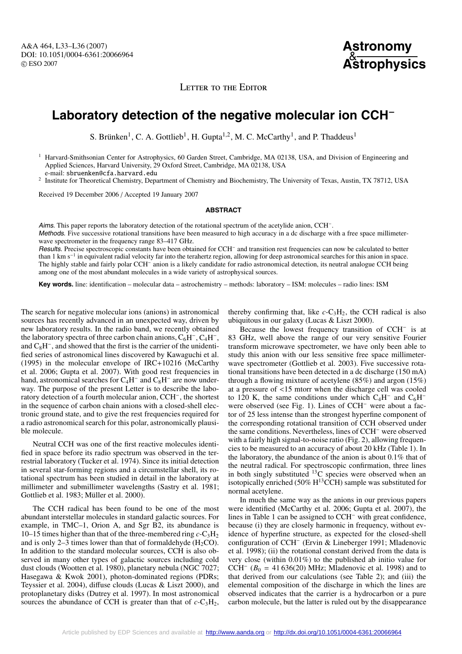A&A 464, L33–L36 (2007) DOI: 10.1051/0004-6361:20066964 c ESO 2007

**Astronomy** & **Astrophysics**

LETTER TO THE EDITOR

## **Laboratory detection of the negative molecular ion CCH**−

S. Brünken<sup>1</sup>, C. A. Gottlieb<sup>1</sup>, H. Gupta<sup>1,2</sup>, M. C. McCarthy<sup>1</sup>, and P. Thaddeus<sup>1</sup>

<sup>1</sup> Harvard-Smithsonian Center for Astrophysics, 60 Garden Street, Cambridge, MA 02138, USA, and Division of Engineering and Applied Sciences, Harvard University, 29 Oxford Street, Cambridge, MA 02138, USA e-mail: sbruenken@cfa.harvard.edu

<sup>2</sup> Institute for Theoretical Chemistry, Department of Chemistry and Biochemistry, The University of Texas, Austin, TX 78712, USA

Received 19 December 2006 / Accepted 19 January 2007

## **ABSTRACT**

Aims. This paper reports the laboratory detection of the rotational spectrum of the acetylide anion, CCH−. Methods. Five successive rotational transitions have been measured to high accuracy in a dc discharge with a free space millimeterwave spectrometer in the frequency range 83–417 GHz. Results. Precise spectroscopic constants have been obtained for CCH<sup>−</sup> and transition rest frequencies can now be calculated to better

than 1 km s−<sup>1</sup> in equivalent radial velocity far into the terahertz region, allowing for deep astronomical searches for this anion in space. The highly stable and fairly polar CCH<sup>−</sup> anion is a likely candidate for radio astronomical detection, its neutral analogue CCH being among one of the most abundant molecules in a wide variety of astrophysical sources.

**Key words.** line: identification – molecular data – astrochemistry – methods: laboratory – ISM: molecules – radio lines: ISM

The search for negative molecular ions (anions) in astronomical sources has recently advanced in an unexpected way, driven by new laboratory results. In the radio band, we recently obtained the laboratory spectra of three carbon chain anions,  $C_6H^-, C_4H^-,$ and C8H−, and showed that the first is the carrier of the unidentified series of astronomical lines discovered by Kawaguchi et al. (1995) in the molecular envelope of IRC+10216 (McCarthy et al. 2006; Gupta et al. 2007). With good rest frequencies in hand, astronomical searches for  $C_4H^-$  and  $C_8H^-$  are now underway. The purpose of the present Letter is to describe the laboratory detection of a fourth molecular anion, CCH−, the shortest in the sequence of carbon chain anions with a closed-shell electronic ground state, and to give the rest frequencies required for a radio astronomical search for this polar, astronomically plausible molecule.

Neutral CCH was one of the first reactive molecules identified in space before its radio spectrum was observed in the terrestrial laboratory (Tucker et al. 1974). Since its initial detection in several star-forming regions and a circumstellar shell, its rotational spectrum has been studied in detail in the laboratory at millimeter and submillimeter wavelengths (Sastry et al. 1981; Gottlieb et al. 1983; Müller et al. 2000).

The CCH radical has been found to be one of the most abundant interstellar molecules in standard galactic sources. For example, in TMC–1, Orion A, and Sgr B2, its abundance is 10–15 times higher than that of the three-membered ring  $c$ -C<sub>3</sub>H<sub>2</sub> and is only 2–3 times lower than that of formaldehyde  $(H_2CO)$ . In addition to the standard molecular sources, CCH is also observed in many other types of galactic sources including cold dust clouds (Wootten et al. 1980), planetary nebula (NGC 7027; Hasegawa & Kwok 2001), photon-dominated regions (PDRs; Teyssier et al. 2004), diffuse clouds (Lucas & Liszt 2000), and protoplanetary disks (Dutrey et al. 1997). In most astronomical sources the abundance of CCH is greater than that of  $c$ -C<sub>3</sub>H<sub>2</sub>,

thereby confirming that, like  $c$ -C<sub>3</sub>H<sub>2</sub>, the CCH radical is also ubiquitous in our galaxy (Lucas & Liszt 2000).

Because the lowest frequency transition of CCH<sup>−</sup> is at 83 GHz, well above the range of our very sensitive Fourier transform microwave spectrometer, we have only been able to study this anion with our less sensitive free space millimeterwave spectrometer (Gottlieb et al. 2003). Five successive rotational transitions have been detected in a dc discharge (150 mA) through a flowing mixture of acetylene (85%) and argon (15%) at a pressure of <15 mtorr when the discharge cell was cooled to 120 K, the same conditions under which  $C_4H^-$  and  $C_6H^$ were observed (see Fig. 1). Lines of CCH<sup>−</sup> were about a factor of 25 less intense than the strongest hyperfine component of the corresponding rotational transition of CCH observed under the same conditions. Nevertheless, lines of CCH<sup>−</sup> were observed with a fairly high signal-to-noise ratio (Fig. 2), allowing frequencies to be measured to an accuracy of about 20 kHz (Table 1). In the laboratory, the abundance of the anion is about 0.1% that of the neutral radical. For spectroscopic confirmation, three lines in both singly substituted  $^{13}$ C species were observed when an isotopically enriched (50%  $H^{13}$ CCH) sample was substituted for normal acetylene.

In much the same way as the anions in our previous papers were identified (McCarthy et al. 2006; Gupta et al. 2007), the lines in Table 1 can be assigned to CCH<sup>−</sup> with great confidence, because (i) they are closely harmonic in frequency, without evidence of hyperfine structure, as expected for the closed-shell configuration of CCH<sup>−</sup> (Ervin & Lineberger 1991; Mladenovic et al. 1998); (ii) the rotational constant derived from the data is very close (within 0.01%) to the published ab initio value for CCH<sup> $-$ </sup> ( $B_0$  = 41 636(20) MHz; Mladenovic et al. 1998) and to that derived from our calculations (see Table 2); and (iii) the elemental composition of the discharge in which the lines are observed indicates that the carrier is a hydrocarbon or a pure carbon molecule, but the latter is ruled out by the disappearance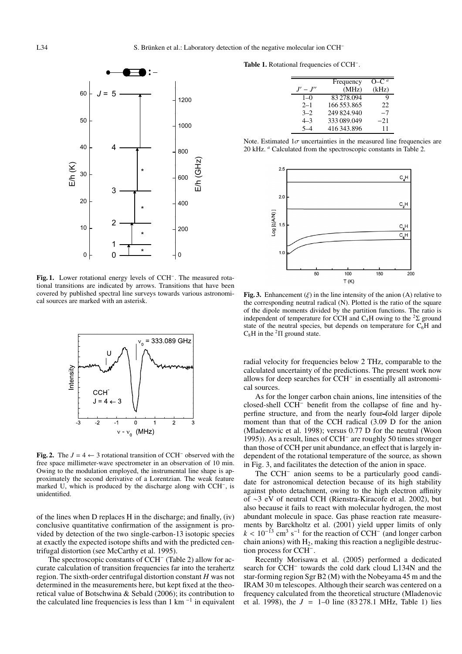

**Fig. 1.** Lower rotational energy levels of CCH−. The measured rotational transitions are indicated by arrows. Transitions that have been covered by published spectral line surveys towards various astronomical sources are marked with an asterisk.



**Fig. 2.** The  $J = 4 \leftarrow 3$  rotational transition of CCH<sup>−</sup> observed with the free space millimeter-wave spectrometer in an observation of 10 min. Owing to the modulation employed, the instrumental line shape is approximately the second derivative of a Lorentzian. The weak feature marked U, which is produced by the discharge along with CCH−, is unidentified.

of the lines when D replaces H in the discharge; and finally, (iv) conclusive quantitative confirmation of the assignment is provided by detection of the two single-carbon-13 isotopic species at exactly the expected isotope shifts and with the predicted centrifugal distortion (see McCarthy et al. 1995).

The spectroscopic constants of CCH<sup>−</sup> (Table 2) allow for accurate calculation of transition frequencies far into the terahertz region. The sixth-order centrifugal distortion constant *H* was not determined in the measurements here, but kept fixed at the theoretical value of Botschwina & Sebald (2006); its contribution to the calculated line frequencies is less than 1 km $^{-1}$  in equivalent

**Table 1.** Rotational frequencies of CCH−.

|          | Frequency   | $O-Ca$ |
|----------|-------------|--------|
| $J'-J''$ | (MHz)       | (kHz)  |
| $1 - 0$  | 83 278.094  | Q      |
| $2 - 1$  | 166 553.865 | 22     |
| $3 - 2$  | 249 824.940 | $-7$   |
| $4 - 3$  | 333 089.049 | $-21$  |
|          | 416 343.896 | 11     |

Note. Estimated  $1\sigma$  uncertainties in the measured line frequencies are 20 kHz. *<sup>a</sup>* Calculated from the spectroscopic constants in Table 2.



**Fig. 3.** Enhancement  $(\xi)$  in the line intensity of the anion  $(A)$  relative to the corresponding neutral radical (N). Plotted is the ratio of the square of the dipole moments divided by the partition functions. The ratio is independent of temperature for CCH and C<sub>4</sub>H owing to the <sup>2</sup>Σ ground state of the neutral species, but depends on temperature for  $C_6H$  and  $C_8H$  in the <sup>2</sup> $\Pi$  ground state.

radial velocity for frequencies below 2 THz, comparable to the calculated uncertainty of the predictions. The present work now allows for deep searches for CCH<sup>−</sup> in essentially all astronomical sources.

As for the longer carbon chain anions, line intensities of the closed-shell CCH<sup>−</sup> benefit from the collapse of fine and hyperfine structure, and from the nearly four-fold larger dipole moment than that of the CCH radical (3.09 D for the anion (Mladenovic et al. 1998); versus 0.77 D for the neutral (Woon 1995)). As a result, lines of CCH<sup>−</sup> are roughly 50 times stronger than those of CCH per unit abundance, an effect that is largely independent of the rotational temperature of the source, as shown in Fig. 3, and facilitates the detection of the anion in space.

The CCH<sup>−</sup> anion seems to be a particularly good candidate for astronomical detection because of its high stability against photo detachment, owing to the high electron affinity of ∼3 eV of neutral CCH (Rienstra-Kiracofe et al. 2002), but also because it fails to react with molecular hydrogen, the most abundant molecule in space. Gas phase reaction rate measurements by Barckholtz et al. (2001) yield upper limits of only  $k < 10^{-13}$  cm<sup>3</sup> s<sup>-1</sup> for the reaction of CCH<sup>-</sup> (and longer carbon chain anions) with  $H_2$ , making this reaction a negligible destruction process for CCH−.

Recently Morisawa et al. (2005) performed a dedicated search for CCH<sup>−</sup> towards the cold dark cloud L134N and the star-forming region Sgr B2 (M) with the Nobeyama 45 m and the IRAM 30 m telescopes. Although their search was centered on a frequency calculated from the theoretical structure (Mladenovic et al. 1998), the  $J = 1-0$  line (83278.1 MHz, Table 1) lies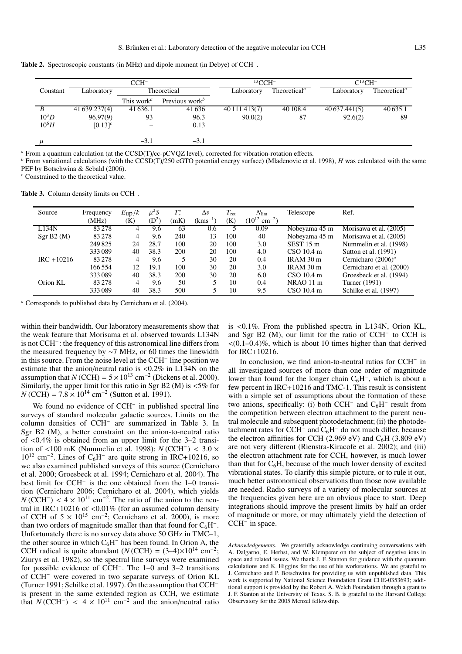**Table 2.** Spectroscopic constants (in MHz) and dipole moment (in Debye) of CCH−.

| $CCH^-$  |               |                                     | $^{13}$ CCH $^{-}$         |                                                     | $C^{13}CH^-$ |               |                                       |
|----------|---------------|-------------------------------------|----------------------------|-----------------------------------------------------|--------------|---------------|---------------------------------------|
| Constant | Laboratory    | Theoretical                         |                            | Theoretical <sup><math>a</math></sup><br>Laboratory |              | Laboratory    | Theoretical <sup><math>a</math></sup> |
|          |               | This work <sup><math>a</math></sup> | Previous work <sup>b</sup> |                                                     |              |               |                                       |
|          | 41 639.237(4) | 41 636.1                            | 41636                      | 40 111.413(7)                                       | 40 108.4     | 40 637.441(5) | 40 635.1                              |
| $10^3D$  | 96.97(9)      | 93                                  | 96.3                       | 90.0(2)                                             | 87           | 92.6(2)       | 89                                    |
| $10^6H$  | $[0.13]^{c}$  |                                     | 0.13                       |                                                     |              |               |                                       |
|          |               | $-3.1$                              | $-3.1$                     |                                                     |              |               |                                       |

<sup>a</sup> From a quantum calculation (at the CCSD(T)/cc-pCVQZ level), corrected for vibration-rotation effects.<br><sup>b</sup> From variational calculations (with the CCSD(T)/250 cGTO potential energy surface) (Mladenovic et al. 1998), *H* PEF by Botschwina & Sebald (2006).

*<sup>c</sup>* Constrained to the theoretical value.

**Table 3.** Column density limits on CCH−.

| Source        | Frequency | $E_{\rm up}/k$ | $\mu^2 S$ | $T^*$ | $\Delta v$   | $T_{\rm rot}$ | $N_{\rm lim}$                 | Telescope     | Ref.                     |
|---------------|-----------|----------------|-----------|-------|--------------|---------------|-------------------------------|---------------|--------------------------|
|               | (MHz)     | (K)            | $(D^2)$   | (mK)  | $(kms^{-1})$ | (K)           | $(10^{12}$ cm <sup>-2</sup> ) |               |                          |
| L134N         | 83278     | 4              | 9.6       | 63    | 0.6          |               | 0.09                          | Nobeyama 45 m | Morisawa et al. (2005)   |
| Sgr B2(M)     | 83278     | 4              | 9.6       | 240   | 13           | 100           | 40                            | Nobeyama 45 m | Morisawa et al. (2005)   |
|               | 249825    | 24             | 28.7      | 100   | 20           | 100           | 3.0                           | $SEST15$ m    | Nummelin et al. (1998)   |
|               | 333089    | 40             | 38.3      | 200   | 20           | 100           | 4.0                           | CSO 10.4 m    | Sutton et al. (1991)     |
| $IRC + 10216$ | 83278     | 4              | 9.6       | 5     | 30           | 20            | 0.4                           | IRAM 30 m     | Cernicharo $(2006)^a$    |
|               | 166554    | 12             | 19.1      | 100   | 30           | 20            | 3.0                           | IRAM 30 m     | Cernicharo et al. (2000) |
|               | 333089    | 40             | 38.3      | 200   | 30           | 20            | 6.0                           | $CSO$ 10.4 m  | Groesbeck et al. (1994)  |
| Orion KL      | 83 278    | 4              | 9.6       | 50    | 5.           | 10            | 0.4                           | $NRAO$ 11 m   | Turner (1991)            |
|               | 333089    | 40             | 38.3      | 500   |              | 10            | 9.5                           | $CSO$ 10.4 m  | Schilke et al. (1997)    |

*<sup>a</sup>* Corresponds to published data by Cernicharo et al. (2004).

within their bandwidth. Our laboratory measurements show that the weak feature that Morisama et al. observed towards L134N is not CCH−: the frequency of this astronomical line differs from the measured frequency by ∼7 MHz, or 60 times the linewidth in this source. From the noise level at the CCH<sup>−</sup> line position we estimate that the anion/neutral ratio is <0.2% in L134N on the assumption that  $N$  (CCH) =  $5 \times 10^{13}$  cm<sup>-2</sup> (Dickens et al. 2000). Similarly, the upper limit for this ratio in Sgr B2 (M) is  $<5\%$  for  $N$  (CCH) =  $7.8 \times 10^{14}$  cm<sup>-2</sup> (Sutton et al. 1991).

We found no evidence of CCH<sup>−</sup> in published spectral line surveys of standard molecular galactic sources. Limits on the column densities of CCH<sup>−</sup> are summarized in Table 3. In Sgr B2 (M), a better constraint on the anion-to-neutral ratio of  $\langle 0.4\%$  is obtained from an upper limit for the 3–2 transition of <100 mK (Nummelin et al. 1998): *N* (CCH−) < 3.0 ×  $10^{12}$  cm<sup>-2</sup>. Lines of C<sub>6</sub>H<sup>-</sup> are quite strong in IRC+10216, so we also examined published surveys of this source (Cernicharo et al. 2000; Groesbeck et al. 1994; Cernicharo et al. 2004). The best limit for CCH<sup>−</sup> is the one obtained from the 1–0 transition (Cernicharo 2006; Cernicharo et al. 2004), which yields  $N$  (CCH<sup>−</sup>) < 4 × 10<sup>11</sup> cm<sup>−2</sup>. The ratio of the anion to the neutral in IRC+10216 of <0.01% (for an assumed column density of CCH of  $5 \times 10^{15}$  cm<sup>-2</sup>; Cernicharo et al. 2000), is more than two orders of magnitude smaller than that found for  $C_6H^-$ . Unfortunately there is no survey data above 50 GHz in TMC–1, the other source in which  $C_6H^-$  has been found. In Orion A, the CCH radical is quite abundant ( $N$  (CCH) = (3–4)×10<sup>14</sup> cm<sup>-2</sup>; Ziurys et al. 1982), so the spectral line surveys were examined for possible evidence of CCH−. The 1–0 and 3–2 transitions of CCH<sup>−</sup> were covered in two separate surveys of Orion KL (Turner 1991; Schilke et al. 1997). On the assumption that CCH<sup>−</sup> is present in the same extended region as CCH, we estimate that  $N$ (CCH<sup>-</sup>) <  $4 \times 10^{11}$  cm<sup>-2</sup> and the anion/neutral ratio

is <0.1%. From the published spectra in L134N, Orion KL, and Sgr B2 (M), our limit for the ratio of CCH<sup>−</sup> to CCH is  $<(0.1-0.4)\%$ , which is about 10 times higher than that derived for IRC+10216.

In conclusion, we find anion-to-neutral ratios for CCH<sup>−</sup> in all investigated sources of more than one order of magnitude lower than found for the longer chain  $C_6H^-$ , which is about a few percent in IRC+10216 and TMC-1. This result is consistent with a simple set of assumptions about the formation of these two anions, specifically: (i) both CCH<sup> $-$ </sup> and C<sub>6</sub>H<sup> $-$ </sup> result from the competition between electron attachment to the parent neutral molecule and subsequent photodetachment; (ii) the photodetachment rates for  $CCH^-$  and  $C_6H^-$  do not much differ, because the electron affinities for CCH (2.969 eV) and  $C_6H$  (3.809 eV) are not very different (Rienstra-Kiracofe et al. 2002); and (iii) the electron attachment rate for CCH, however, is much lower than that for  $C_6H$ , because of the much lower density of excited vibrational states. To clarify this simple picture, or to rule it out, much better astronomical observations than those now available are needed. Radio surveys of a variety of molecular sources at the frequencies given here are an obvious place to start. Deep integrations should improve the present limits by half an order of magnitude or more, or may ultimately yield the detection of CCH<sup>-</sup> in space.

*Acknowledgements.* We gratefully acknowledge continuing conversations with A. Dalgarno, E. Herbst, and W. Klemperer on the subject of negative ions in space and related issues. We thank J. F. Stanton for guidance with the quantum calculations and K. Higgins for the use of his workstations. We are grateful to J. Cernicharo and P. Botschwina for providing us with unpublished data. This work is supported by National Science Foundation Grant CHE-0353693; additional support is provided by the Robert A. Welch Foundation through a grant to J. F. Stanton at the University of Texas. S. B. is grateful to the Harvard College Observatory for the 2005 Menzel fellowship.